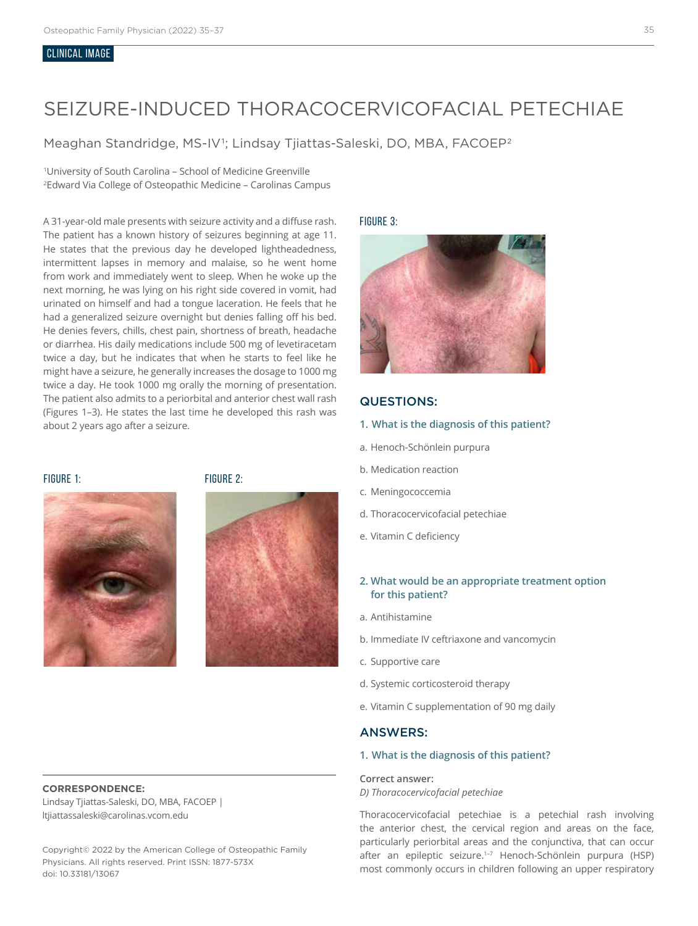#### CLINICAL IMAGE

# SEIZURE-INDUCED THORACOCERVICOFACIAL PETECHIAE

Meaghan Standridge, MS-IV<sup>1</sup>; Lindsay Tjiattas-Saleski, DO, MBA, FACOEP<sup>2</sup>

1 University of South Carolina – School of Medicine Greenville 2 Edward Via College of Osteopathic Medicine – Carolinas Campus

A 31-year-old male presents with seizure activity and a diffuse rash. The patient has a known history of seizures beginning at age 11. He states that the previous day he developed lightheadedness, intermittent lapses in memory and malaise, so he went home from work and immediately went to sleep. When he woke up the next morning, he was lying on his right side covered in vomit, had urinated on himself and had a tongue laceration. He feels that he had a generalized seizure overnight but denies falling off his bed. He denies fevers, chills, chest pain, shortness of breath, headache or diarrhea. His daily medications include 500 mg of levetiracetam twice a day, but he indicates that when he starts to feel like he might have a seizure, he generally increases the dosage to 1000 mg twice a day. He took 1000 mg orally the morning of presentation. The patient also admits to a periorbital and anterior chest wall rash (Figures 1–3). He states the last time he developed this rash was about 2 years ago after a seizure.



FIGURE 1: FIGURE 2:



#### **CORRESPONDENCE:**

Lindsay Tjiattas-Saleski, DO, MBA, FACOEP | ltjiattassaleski@carolinas.vcom.edu

Copyright© 2022 by the American College of Osteopathic Family Physicians. All rights reserved. Print ISSN: 1877-573X doi: 10.33181/13067

FIGURE 3:



# QUESTIONS:

- **1. What is the diagnosis of this patient?**
- a. Henoch-Schönlein purpura
- b. Medication reaction
- c. Meningococcemia
- d. Thoracocervicofacial petechiae
- e. Vitamin C deficiency
- **2. What would be an appropriate treatment option for this patient?**
- a. Antihistamine
- b. Immediate IV ceftriaxone and vancomycin
- c. Supportive care
- d. Systemic corticosteroid therapy
- e. Vitamin C supplementation of 90 mg daily

## ANSWERS:

#### **1. What is the diagnosis of this patient?**

#### **Correct answer:**

*D) Thoracocervicofacial petechiae*

Thoracocervicofacial petechiae is a petechial rash involving the anterior chest, the cervical region and areas on the face, particularly periorbital areas and the conjunctiva, that can occur after an epileptic seizure.<sup>1-7</sup> Henoch-Schönlein purpura (HSP) most commonly occurs in children following an upper respiratory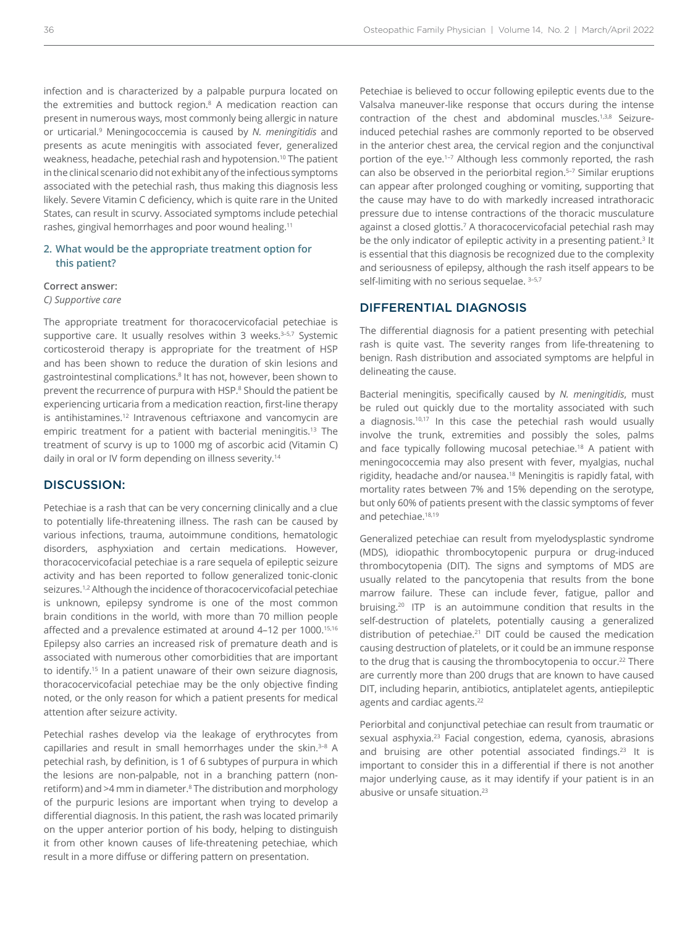infection and is characterized by a palpable purpura located on the extremities and buttock region.8 A medication reaction can present in numerous ways, most commonly being allergic in nature or urticarial.9 Meningococcemia is caused by *N. meningitidis* and presents as acute meningitis with associated fever, generalized weakness, headache, petechial rash and hypotension.10 The patient in the clinical scenario did not exhibit any of the infectious symptoms associated with the petechial rash, thus making this diagnosis less likely. Severe Vitamin C deficiency, which is quite rare in the United States, can result in scurvy. Associated symptoms include petechial rashes, gingival hemorrhages and poor wound healing.11

### **2. What would be the appropriate treatment option for this patient?**

#### **Correct answer:**

#### *C) Supportive care*

The appropriate treatment for thoracocervicofacial petechiae is supportive care. It usually resolves within 3 weeks.<sup>3-5,7</sup> Systemic corticosteroid therapy is appropriate for the treatment of HSP and has been shown to reduce the duration of skin lesions and gastrointestinal complications.<sup>8</sup> It has not, however, been shown to prevent the recurrence of purpura with HSP.<sup>8</sup> Should the patient be experiencing urticaria from a medication reaction, first-line therapy is antihistamines.<sup>12</sup> Intravenous ceftriaxone and vancomycin are empiric treatment for a patient with bacterial meningitis.<sup>13</sup> The treatment of scurvy is up to 1000 mg of ascorbic acid (Vitamin C) daily in oral or IV form depending on illness severity.<sup>14</sup>

# DISCUSSION:

Petechiae is a rash that can be very concerning clinically and a clue to potentially life-threatening illness. The rash can be caused by various infections, trauma, autoimmune conditions, hematologic disorders, asphyxiation and certain medications. However, thoracocervicofacial petechiae is a rare sequela of epileptic seizure activity and has been reported to follow generalized tonic-clonic seizures.<sup>1,2</sup> Although the incidence of thoracocervicofacial petechiae is unknown, epilepsy syndrome is one of the most common brain conditions in the world, with more than 70 million people affected and a prevalence estimated at around 4-12 per 1000.<sup>15,16</sup> Epilepsy also carries an increased risk of premature death and is associated with numerous other comorbidities that are important to identify.15 In a patient unaware of their own seizure diagnosis, thoracocervicofacial petechiae may be the only objective finding noted, or the only reason for which a patient presents for medical attention after seizure activity.

Petechial rashes develop via the leakage of erythrocytes from capillaries and result in small hemorrhages under the skin.<sup>3-8</sup> A petechial rash, by definition, is 1 of 6 subtypes of purpura in which the lesions are non-palpable, not in a branching pattern (nonretiform) and >4 mm in diameter.<sup>8</sup> The distribution and morphology of the purpuric lesions are important when trying to develop a differential diagnosis. In this patient, the rash was located primarily on the upper anterior portion of his body, helping to distinguish it from other known causes of life-threatening petechiae, which result in a more diffuse or differing pattern on presentation.

Petechiae is believed to occur following epileptic events due to the Valsalva maneuver-like response that occurs during the intense contraction of the chest and abdominal muscles.<sup>1,3,8</sup> Seizureinduced petechial rashes are commonly reported to be observed in the anterior chest area, the cervical region and the conjunctival portion of the eye.<sup>1-7</sup> Although less commonly reported, the rash can also be observed in the periorbital region.<sup>5-7</sup> Similar eruptions can appear after prolonged coughing or vomiting, supporting that the cause may have to do with markedly increased intrathoracic pressure due to intense contractions of the thoracic musculature against a closed glottis.7 A thoracocervicofacial petechial rash may be the only indicator of epileptic activity in a presenting patient.<sup>3</sup> It is essential that this diagnosis be recognized due to the complexity and seriousness of epilepsy, although the rash itself appears to be self-limiting with no serious sequelae. 3-5,7

### DIFFERENTIAL DIAGNOSIS

The differential diagnosis for a patient presenting with petechial rash is quite vast. The severity ranges from life-threatening to benign. Rash distribution and associated symptoms are helpful in delineating the cause.

Bacterial meningitis, specifically caused by *N. meningitidis*, must be ruled out quickly due to the mortality associated with such a diagnosis.<sup>10,17</sup> In this case the petechial rash would usually involve the trunk, extremities and possibly the soles, palms and face typically following mucosal petechiae.<sup>18</sup> A patient with meningococcemia may also present with fever, myalgias, nuchal rigidity, headache and/or nausea.18 Meningitis is rapidly fatal, with mortality rates between 7% and 15% depending on the serotype, but only 60% of patients present with the classic symptoms of fever and petechiae.<sup>18,19</sup>

Generalized petechiae can result from myelodysplastic syndrome (MDS), idiopathic thrombocytopenic purpura or drug-induced thrombocytopenia (DIT). The signs and symptoms of MDS are usually related to the pancytopenia that results from the bone marrow failure. These can include fever, fatigue, pallor and bruising.20 ITP is an autoimmune condition that results in the self-destruction of platelets, potentially causing a generalized distribution of petechiae.21 DIT could be caused the medication causing destruction of platelets, or it could be an immune response to the drug that is causing the thrombocytopenia to occur.<sup>22</sup> There are currently more than 200 drugs that are known to have caused DIT, including heparin, antibiotics, antiplatelet agents, antiepileptic agents and cardiac agents.<sup>22</sup>

Periorbital and conjunctival petechiae can result from traumatic or sexual asphyxia.<sup>23</sup> Facial congestion, edema, cyanosis, abrasions and bruising are other potential associated findings.<sup>23</sup> It is important to consider this in a differential if there is not another major underlying cause, as it may identify if your patient is in an abusive or unsafe situation.<sup>23</sup>